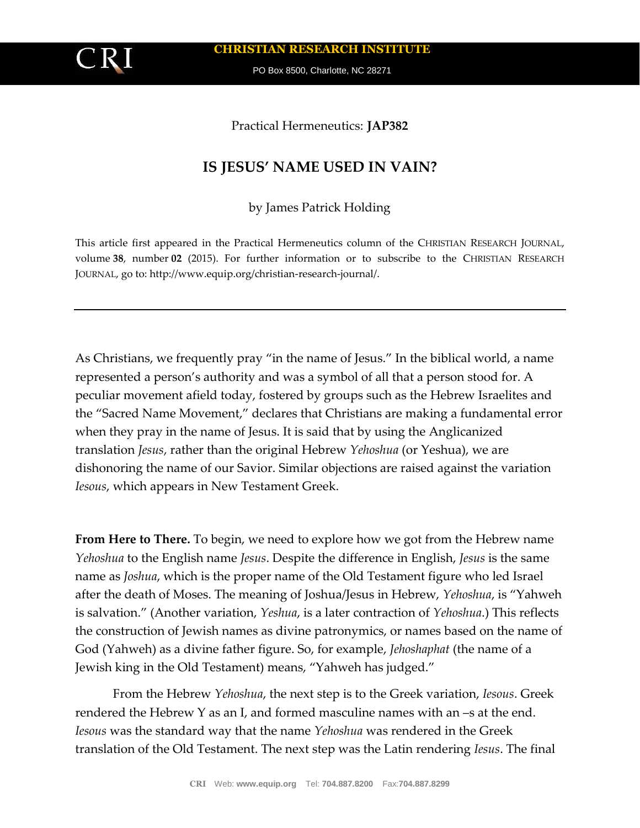

**CHRISTIAN RESEARCH INSTITUTE**

PO Box 8500, Charlotte, NC 28271

## Practical Hermeneutics: **JAP382**

## **IS JESUS' NAME USED IN VAIN?**

by James Patrick Holding

This article first appeared in the Practical Hermeneutics column of the CHRISTIAN RESEARCH JOURNAL, volume **38**, number **02** (2015). For further information or to subscribe to the CHRISTIAN RESEARCH JOURNAL, go to: http://www.equip.org/christian-research-journal/.

As Christians, we frequently pray "in the name of Jesus." In the biblical world, a name represented a person's authority and was a symbol of all that a person stood for. A peculiar movement afield today, fostered by groups such as the Hebrew Israelites and the "Sacred Name Movement," declares that Christians are making a fundamental error when they pray in the name of Jesus. It is said that by using the Anglicanized translation *Jesus*, rather than the original Hebrew *Yehoshua* (or Yeshua), we are dishonoring the name of our Savior. Similar objections are raised against the variation *Iesous*, which appears in New Testament Greek.

**From Here to There.** To begin, we need to explore how we got from the Hebrew name *Yehoshua* to the English name *Jesus*. Despite the difference in English, *Jesus* is the same name as *Joshua*, which is the proper name of the Old Testament figure who led Israel after the death of Moses. The meaning of Joshua/Jesus in Hebrew, *Yehoshua*, is "Yahweh is salvation." (Another variation, *Yeshua*, is a later contraction of *Yehoshua*.) This reflects the construction of Jewish names as divine patronymics, or names based on the name of God (Yahweh) as a divine father figure. So, for example, *Jehoshaphat* (the name of a Jewish king in the Old Testament) means, "Yahweh has judged."

From the Hebrew *Yehoshua*, the next step is to the Greek variation, *Iesous*. Greek rendered the Hebrew Y as an I, and formed masculine names with an –s at the end. *Iesous* was the standard way that the name *Yehoshua* was rendered in the Greek translation of the Old Testament. The next step was the Latin rendering *Iesus*. The final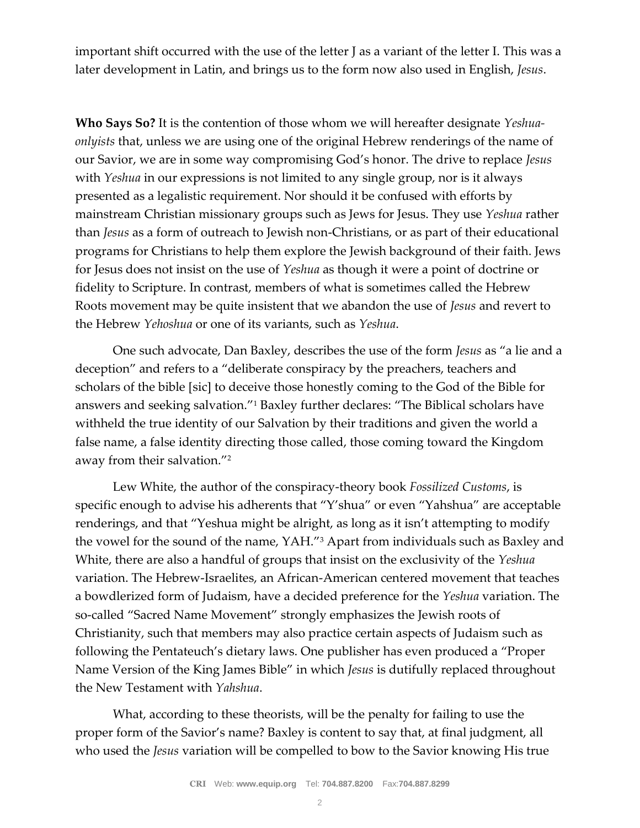important shift occurred with the use of the letter J as a variant of the letter I. This was a later development in Latin, and brings us to the form now also used in English, *Jesus*.

**Who Says So?** It is the contention of those whom we will hereafter designate *Yeshuaonlyists* that, unless we are using one of the original Hebrew renderings of the name of our Savior, we are in some way compromising God's honor. The drive to replace *Jesus* with *Yeshua* in our expressions is not limited to any single group, nor is it always presented as a legalistic requirement. Nor should it be confused with efforts by mainstream Christian missionary groups such as Jews for Jesus. They use *Yeshua* rather than *Jesus* as a form of outreach to Jewish non-Christians, or as part of their educational programs for Christians to help them explore the Jewish background of their faith. Jews for Jesus does not insist on the use of *Yeshua* as though it were a point of doctrine or fidelity to Scripture. In contrast, members of what is sometimes called the Hebrew Roots movement may be quite insistent that we abandon the use of *Jesus* and revert to the Hebrew *Yehoshua* or one of its variants, such as *Yeshua*.

One such advocate, Dan Baxley, describes the use of the form *Jesus* as "a lie and a deception" and refers to a "deliberate conspiracy by the preachers, teachers and scholars of the bible [sic] to deceive those honestly coming to the God of the Bible for answers and seeking salvation."<sup>1</sup> Baxley further declares: "The Biblical scholars have withheld the true identity of our Salvation by their traditions and given the world a false name, a false identity directing those called, those coming toward the Kingdom away from their salvation."<sup>2</sup>

Lew White, the author of the conspiracy-theory book *Fossilized Customs*, is specific enough to advise his adherents that "Y'shua" or even "Yahshua" are acceptable renderings, and that "Yeshua might be alright, as long as it isn't attempting to modify the vowel for the sound of the name, YAH."<sup>3</sup> Apart from individuals such as Baxley and White, there are also a handful of groups that insist on the exclusivity of the *Yeshua*  variation. The Hebrew-Israelites, an African-American centered movement that teaches a bowdlerized form of Judaism, have a decided preference for the *Yeshua* variation. The so-called "Sacred Name Movement" strongly emphasizes the Jewish roots of Christianity, such that members may also practice certain aspects of Judaism such as following the Pentateuch's dietary laws. One publisher has even produced a "Proper Name Version of the King James Bible" in which *Jesus* is dutifully replaced throughout the New Testament with *Yahshua*.

What, according to these theorists, will be the penalty for failing to use the proper form of the Savior's name? Baxley is content to say that, at final judgment, all who used the *Jesus* variation will be compelled to bow to the Savior knowing His true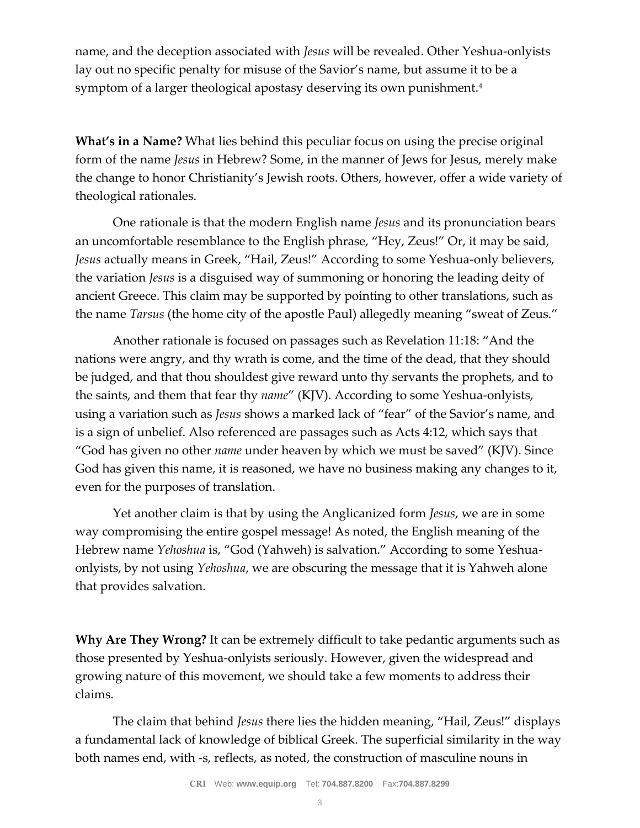name, and the deception associated with *Jesus* will be revealed. Other Yeshua-onlyists lay out no specific penalty for misuse of the Savior's name, but assume it to be a symptom of a larger theological apostasy deserving its own punishment.<sup>4</sup>

**What's in a Name?** What lies behind this peculiar focus on using the precise original form of the name *Jesus* in Hebrew? Some, in the manner of Jews for Jesus, merely make the change to honor Christianity's Jewish roots. Others, however, offer a wide variety of theological rationales.

One rationale is that the modern English name *Jesus* and its pronunciation bears an uncomfortable resemblance to the English phrase, "Hey, Zeus!" Or, it may be said, *Jesus* actually means in Greek, "Hail, Zeus!" According to some Yeshua-only believers, the variation *Jesus* is a disguised way of summoning or honoring the leading deity of ancient Greece. This claim may be supported by pointing to other translations, such as the name *Tarsus* (the home city of the apostle Paul) allegedly meaning "sweat of Zeus."

Another rationale is focused on passages such as Revelation 11:18: "And the nations were angry, and thy wrath is come, and the time of the dead, that they should be judged, and that thou shouldest give reward unto thy servants the prophets, and to the saints, and them that fear thy *name*" (KJV). According to some Yeshua-onlyists, using a variation such as *Jesus* shows a marked lack of "fear" of the Savior's name, and is a sign of unbelief. Also referenced are passages such as Acts 4:12, which says that "God has given no other *name* under heaven by which we must be saved" (KJV). Since God has given this name, it is reasoned, we have no business making any changes to it, even for the purposes of translation.

Yet another claim is that by using the Anglicanized form *Jesus*, we are in some way compromising the entire gospel message! As noted, the English meaning of the Hebrew name *Yehoshua* is, "God (Yahweh) is salvation." According to some Yeshuaonlyists, by not using *Yehoshua*, we are obscuring the message that it is Yahweh alone that provides salvation.

**Why Are They Wrong?** It can be extremely difficult to take pedantic arguments such as those presented by Yeshua-onlyists seriously. However, given the widespread and growing nature of this movement, we should take a few moments to address their claims.

The claim that behind *Jesus* there lies the hidden meaning, "Hail, Zeus!" displays a fundamental lack of knowledge of biblical Greek. The superficial similarity in the way both names end, with -s, reflects, as noted, the construction of masculine nouns in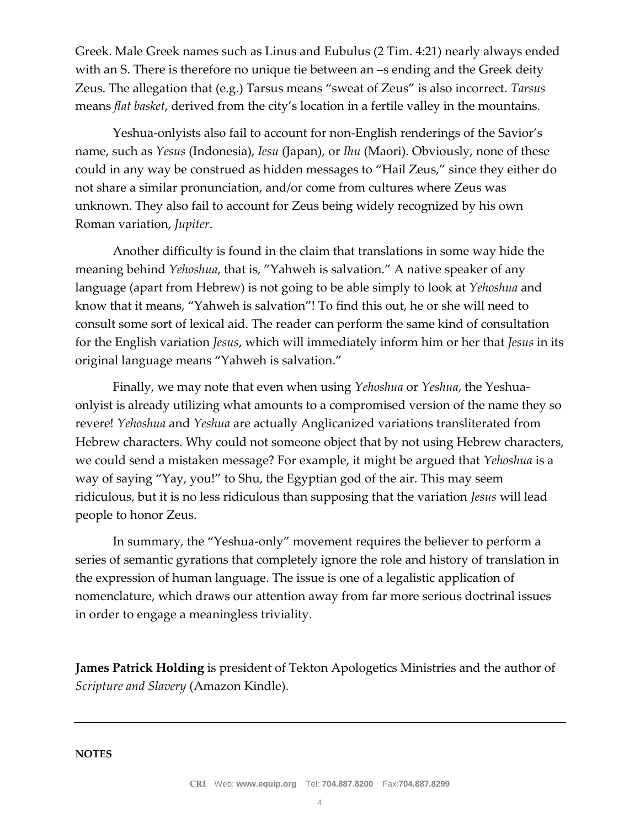Greek. Male Greek names such as Linus and Eubulus (2 Tim. 4:21) nearly always ended with an S. There is therefore no unique tie between an –s ending and the Greek deity Zeus. The allegation that (e.g.) Tarsus means "sweat of Zeus" is also incorrect. *Tarsus* means *flat basket*, derived from the city's location in a fertile valley in the mountains.

Yeshua-onlyists also fail to account for non-English renderings of the Savior's name, such as *Yesus* (Indonesia), *Iesu* (Japan), or *Ihu* (Maori). Obviously, none of these could in any way be construed as hidden messages to "Hail Zeus," since they either do not share a similar pronunciation, and/or come from cultures where Zeus was unknown. They also fail to account for Zeus being widely recognized by his own Roman variation, *Jupiter*.

Another difficulty is found in the claim that translations in some way hide the meaning behind *Yehoshua*, that is, "Yahweh is salvation." A native speaker of any language (apart from Hebrew) is not going to be able simply to look at *Yehoshua* and know that it means, "Yahweh is salvation"! To find this out, he or she will need to consult some sort of lexical aid. The reader can perform the same kind of consultation for the English variation *Jesus*, which will immediately inform him or her that *Jesus* in its original language means "Yahweh is salvation."

Finally, we may note that even when using *Yehoshua* or *Yeshua*, the Yeshuaonlyist is already utilizing what amounts to a compromised version of the name they so revere! *Yehoshua* and *Yeshua* are actually Anglicanized variations transliterated from Hebrew characters. Why could not someone object that by not using Hebrew characters, we could send a mistaken message? For example, it might be argued that *Yehoshua* is a way of saying "Yay, you!" to Shu, the Egyptian god of the air. This may seem ridiculous, but it is no less ridiculous than supposing that the variation *Jesus* will lead people to honor Zeus.

In summary, the "Yeshua-only" movement requires the believer to perform a series of semantic gyrations that completely ignore the role and history of translation in the expression of human language. The issue is one of a legalistic application of nomenclature, which draws our attention away from far more serious doctrinal issues in order to engage a meaningless triviality.

**James Patrick Holding** is president of Tekton Apologetics Ministries and the author of *Scripture and Slavery* (Amazon Kindle).

**NOTES**